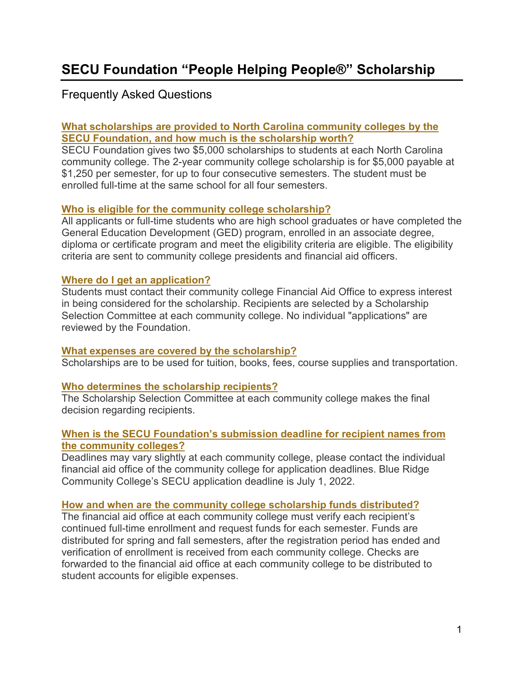# Frequently Asked Questions

# **[What scholarships are provided to North Carolina community colleges by the](https://www.ncsecufoundation.org/FAQs/FAQs.html#ccA1)  [SECU Foundation, and how much is the scholarship worth?](https://www.ncsecufoundation.org/FAQs/FAQs.html#ccA1)**

SECU Foundation gives two \$5,000 scholarships to students at each North Carolina community college. The 2-year community college scholarship is for \$5,000 payable at \$1,250 per semester, for up to four consecutive semesters. The student must be enrolled full-time at the same school for all four semesters.

# **[Who is eligible for the community college scholarship?](https://www.ncsecufoundation.org/FAQs/FAQs.html#ccA2)**

All applicants or full-time students who are high school graduates or have completed the General Education Development (GED) program, enrolled in an associate degree, diploma or certificate program and meet the eligibility criteria are eligible. The eligibility criteria are sent to community college presidents and financial aid officers.

#### **[Where do I get an application?](https://www.ncsecufoundation.org/FAQs/FAQs.html#ccA3)**

Students must contact their community college Financial Aid Office to express interest in being considered for the scholarship. Recipients are selected by a Scholarship Selection Committee at each community college. No individual "applications" are reviewed by the Foundation.

#### **What expenses are [covered by the scholarship?](https://www.ncsecufoundation.org/FAQs/FAQs.html#ccA4)**

Scholarships are to be used for tuition, books, fees, course supplies and transportation.

#### **[Who determines the scholarship recipients?](https://www.ncsecufoundation.org/FAQs/FAQs.html#ccA5)**

The Scholarship Selection Committee at each community college makes the final decision regarding recipients.

#### **[When is the SECU Foundation's submission deadline for recipient names from](https://www.ncsecufoundation.org/FAQs/FAQs.html#ccA6)  [the community colleges?](https://www.ncsecufoundation.org/FAQs/FAQs.html#ccA6)**

Deadlines may vary slightly at each community college, please contact the individual financial aid office of the community college for application deadlines. Blue Ridge Community College's SECU application deadline is July 1, 2022.

#### **[How and when are the community college scholarship funds distributed?](https://www.ncsecufoundation.org/FAQs/FAQs.html#ccA7)**

The financial aid office at each community college must verify each recipient's continued full-time enrollment and request funds for each semester. Funds are distributed for spring and fall semesters, after the registration period has ended and verification of enrollment is received from each community college. Checks are forwarded to the financial aid office at each community college to be distributed to student accounts for eligible expenses.